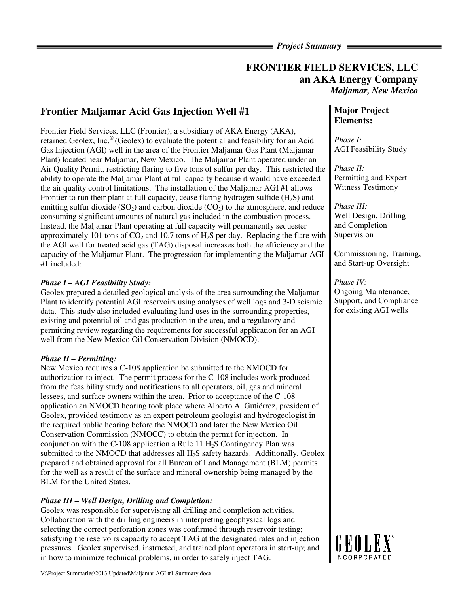## *Project Summary*

# **FRONTIER FIELD SERVICES, LLC an AKA Energy Company**  *Maljamar, New Mexico*

# **Frontier Maljamar Acid Gas Injection Well #1**

Frontier Field Services, LLC (Frontier), a subsidiary of AKA Energy (AKA), retained Geolex, Inc.® (Geolex) to evaluate the potential and feasibility for an Acid Gas Injection (AGI) well in the area of the Frontier Maljamar Gas Plant (Maljamar Plant) located near Maljamar, New Mexico. The Maljamar Plant operated under an Air Quality Permit, restricting flaring to five tons of sulfur per day. This restricted the ability to operate the Maljamar Plant at full capacity because it would have exceeded the air quality control limitations. The installation of the Maljamar AGI #1 allows Frontier to run their plant at full capacity, cease flaring hydrogen sulfide  $(H_2S)$  and emitting sulfur dioxide (SO<sub>2</sub>) and carbon dioxide (CO<sub>2</sub>) to the atmosphere, and reduce consuming significant amounts of natural gas included in the combustion process. Instead, the Maljamar Plant operating at full capacity will permanently sequester approximately 101 tons of  $CO<sub>2</sub>$  and 10.7 tons of H<sub>2</sub>S per day. Replacing the flare with the AGI well for treated acid gas (TAG) disposal increases both the efficiency and the capacity of the Maljamar Plant. The progression for implementing the Maljamar AGI #1 included:

## *Phase I – AGI Feasibility Study:*

Geolex prepared a detailed geological analysis of the area surrounding the Maljamar Plant to identify potential AGI reservoirs using analyses of well logs and 3-D seismic data. This study also included evaluating land uses in the surrounding properties, existing and potential oil and gas production in the area, and a regulatory and permitting review regarding the requirements for successful application for an AGI well from the New Mexico Oil Conservation Division (NMOCD).

#### *Phase II – Permitting:*

New Mexico requires a C-108 application be submitted to the NMOCD for authorization to inject. The permit process for the C-108 includes work produced from the feasibility study and notifications to all operators, oil, gas and mineral lessees, and surface owners within the area. Prior to acceptance of the C-108 application an NMOCD hearing took place where Alberto A. Gutiérrez, president of Geolex, provided testimony as an expert petroleum geologist and hydrogeologist in the required public hearing before the NMOCD and later the New Mexico Oil Conservation Commission (NMOCC) to obtain the permit for injection. In conjunction with the C-108 application a Rule 11  $H<sub>2</sub>S$  Contingency Plan was submitted to the NMOCD that addresses all  $H_2S$  safety hazards. Additionally, Geolex prepared and obtained approval for all Bureau of Land Management (BLM) permits for the well as a result of the surface and mineral ownership being managed by the BLM for the United States.

## *Phase III – Well Design, Drilling and Completion:*

Geolex was responsible for supervising all drilling and completion activities. Collaboration with the drilling engineers in interpreting geophysical logs and selecting the correct perforation zones was confirmed through reservoir testing; satisfying the reservoirs capacity to accept TAG at the designated rates and injection pressures. Geolex supervised, instructed, and trained plant operators in start-up; and in how to minimize technical problems, in order to safely inject TAG.

# **Major Project Elements:**

*Phase I:*  AGI Feasibility Study

*Phase II:*  Permitting and Expert Witness Testimony

*Phase III:*  Well Design, Drilling and Completion Supervision

Commissioning, Training, and Start-up Oversight

### *Phase IV:*  Ongoing Maintenance, Support, and Compliance for existing AGI wells